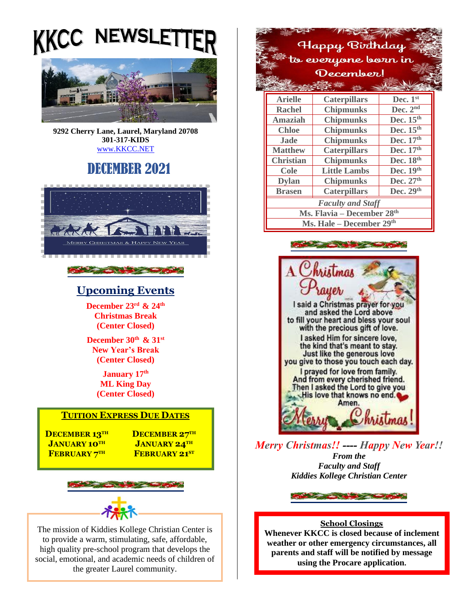**NEWSLETTEI** KKCC



**9292 Cherry Lane, Laurel, Maryland 20708 301-317-KIDS**  [www.KKCC.NET](http://www.kkcc.net/)

# DECEMBER 2021



### **Upcoming Events**

**December 23 rd & 24 th Christmas Break (Center Closed)**

**December 30 th & 31 st New Year's Break (Center Closed)**

> **January 17 th ML King Day (Center Closed)**

### **TUITION EXPRESS DUE DATES**

**DECEMBER 13TH DECEMBER 27TH JANUARY 10TH JANUARY 24TH**  $FEBRUARY 7<sup>TH</sup>$ 

**FEBRUARY 21ST** 



The mission of Kiddies Kollege Christian Center is to provide a warm, stimulating, safe, affordable, high quality pre-school program that develops the social, emotional, and academic needs of children of tional, and academic needs of the greater Laurel community.





*Merry Christmas!! ---- Happy New Year!! From the Faculty and Staff Kiddies Kollege Christian Center*

Service of the Contract of the Contract of

### **School Closings**

**Whenever KKCC is closed because of inclement weather or other emergency circumstances, all parents and staff will be notified by message using the Procare application.**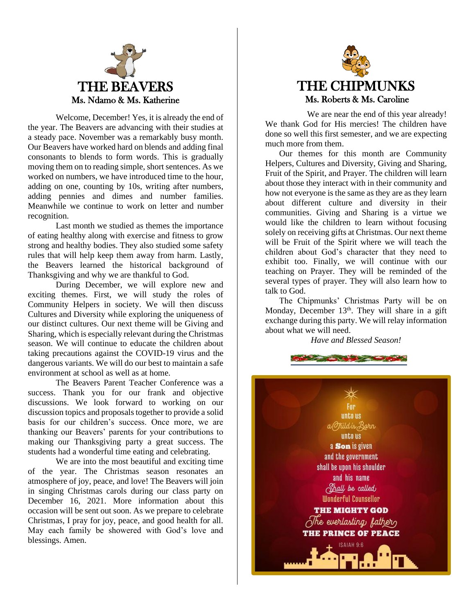

Welcome, December! Yes, it is already the end of the year. The Beavers are advancing with their studies at a steady pace. November was a remarkably busy month. Our Beavers have worked hard on blends and adding final consonants to blends to form words. This is gradually moving them on to reading simple, short sentences. As we worked on numbers, we have introduced time to the hour, adding on one, counting by 10s, writing after numbers, adding pennies and dimes and number families. Meanwhile we continue to work on letter and number recognition.

Last month we studied as themes the importance of eating healthy along with exercise and fitness to grow strong and healthy bodies. They also studied some safety rules that will help keep them away from harm. Lastly, the Beavers learned the historical background of Thanksgiving and why we are thankful to God.

During December, we will explore new and exciting themes. First, we will study the roles of Community Helpers in society. We will then discuss Cultures and Diversity while exploring the uniqueness of our distinct cultures. Our next theme will be Giving and Sharing, which is especially relevant during the Christmas season. We will continue to educate the children about taking precautions against the COVID-19 virus and the dangerous variants. We will do our best to maintain a safe environment at school as well as at home.

The Beavers Parent Teacher Conference was a success. Thank you for our frank and objective discussions. We look forward to working on our discussion topics and proposals together to provide a solid basis for our children's success. Once more, we are thanking our Beavers' parents for your contributions to making our Thanksgiving party a great success. The students had a wonderful time eating and celebrating.

We are into the most beautiful and exciting time of the year. The Christmas season resonates an atmosphere of joy, peace, and love! The Beavers will join in singing Christmas carols during our class party on December 16, 2021. More information about this occasion will be sent out soon. As we prepare to celebrate Christmas, I pray for joy, peace, and good health for all. May each family be showered with God's love and blessings. Amen.



We are near the end of this year already! We thank God for His mercies! The children have done so well this first semester, and we are expecting much more from them.

Our themes for this month are Community Helpers, Cultures and Diversity, Giving and Sharing, Fruit of the Spirit, and Prayer. The children will learn about those they interact with in their community and how not everyone is the same as they are as they learn about different culture and diversity in their communities. Giving and Sharing is a virtue we would like the children to learn without focusing solely on receiving gifts at Christmas. Our next theme will be Fruit of the Spirit where we will teach the children about God's character that they need to exhibit too. Finally, we will continue with our teaching on Prayer. They will be reminded of the several types of prayer. They will also learn how to talk to God.

The Chipmunks' Christmas Party will be on Monday, December  $13<sup>th</sup>$ . They will share in a gift exchange during this party. We will relay information about what we will need.

*Have and Blessed Season!*

**Comment of the Comment** 

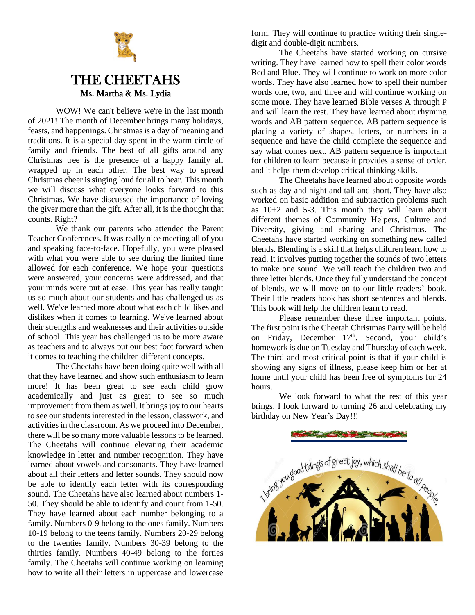

# THE CHEETAHS Ms. Martha & Ms. Lydia

WOW! We can't believe we're in the last month of 2021! The month of December brings many holidays, feasts, and happenings. Christmas is a day of meaning and traditions. It is a special day spent in the warm circle of family and friends. The best of all gifts around any Christmas tree is the presence of a happy family all wrapped up in each other. The best way to spread Christmas cheer is singing loud for all to hear. This month we will discuss what everyone looks forward to this Christmas. We have discussed the importance of loving the giver more than the gift. After all, it is the thought that counts. Right?

We thank our parents who attended the Parent Teacher Conferences. It was really nice meeting all of you and speaking face-to-face. Hopefully, you were pleased with what you were able to see during the limited time allowed for each conference. We hope your questions were answered, your concerns were addressed, and that your minds were put at ease. This year has really taught us so much about our students and has challenged us as well. We've learned more about what each child likes and dislikes when it comes to learning. We've learned about their strengths and weaknesses and their activities outside of school. This year has challenged us to be more aware as teachers and to always put our best foot forward when it comes to teaching the children different concepts.

The Cheetahs have been doing quite well with all that they have learned and show such enthusiasm to learn more! It has been great to see each child grow academically and just as great to see so much improvement from them as well. It brings joy to our hearts to see our students interested in the lesson, classwork, and activities in the classroom. As we proceed into December, there will be so many more valuable lessons to be learned. The Cheetahs will continue elevating their academic knowledge in letter and number recognition. They have learned about vowels and consonants. They have learned about all their letters and letter sounds. They should now be able to identify each letter with its corresponding sound. The Cheetahs have also learned about numbers 1- 50. They should be able to identify and count from 1-50. They have learned about each number belonging to a family. Numbers 0-9 belong to the ones family. Numbers 10-19 belong to the teens family. Numbers 20-29 belong to the twenties family. Numbers 30-39 belong to the thirties family. Numbers 40-49 belong to the forties family. The Cheetahs will continue working on learning how to write all their letters in uppercase and lowercase

form. They will continue to practice writing their singledigit and double-digit numbers.

The Cheetahs have started working on cursive writing. They have learned how to spell their color words Red and Blue. They will continue to work on more color words. They have also learned how to spell their number words one, two, and three and will continue working on some more. They have learned Bible verses A through P and will learn the rest. They have learned about rhyming words and AB pattern sequence. AB pattern sequence is placing a variety of shapes, letters, or numbers in a sequence and have the child complete the sequence and say what comes next. AB pattern sequence is important for children to learn because it provides a sense of order, and it helps them develop critical thinking skills.

The Cheetahs have learned about opposite words such as day and night and tall and short. They have also worked on basic addition and subtraction problems such as 10+2 and 5-3. This month they will learn about different themes of Community Helpers, Culture and Diversity, giving and sharing and Christmas. The Cheetahs have started working on something new called blends. Blending is a skill that helps children learn how to read. It involves putting together the sounds of two letters to make one sound. We will teach the children two and three letter blends. Once they fully understand the concept of blends, we will move on to our little readers' book. Their little readers book has short sentences and blends. This book will help the children learn to read.

Please remember these three important points. The first point is the Cheetah Christmas Party will be held on Friday, December 17<sup>th</sup>. Second, your child's homework is due on Tuesday and Thursday of each week. The third and most critical point is that if your child is showing any signs of illness, please keep him or her at home until your child has been free of symptoms for 24 hours.

We look forward to what the rest of this year brings. I look forward to turning 26 and celebrating my birthday on New Year's Day!!!

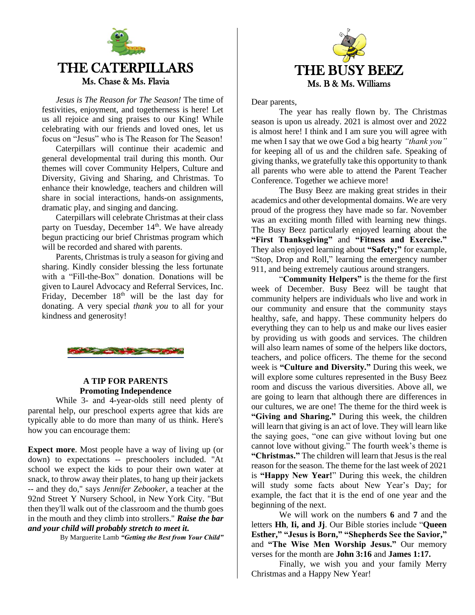

# THE CATERPILLARS Ms. Chase & Ms. Flavia

*Jesus is The Reason for The Season!* The time of festivities, enjoyment, and togetherness is here! Let us all rejoice and sing praises to our King! While celebrating with our friends and loved ones, let us focus on "Jesus" who is The Reason for The Season!

Caterpillars will continue their academic and general developmental trail during this month. Our themes will cover Community Helpers, Culture and Diversity, Giving and Sharing, and Christmas. To enhance their knowledge, teachers and children will share in social interactions, hands-on assignments, dramatic play, and singing and dancing.

Caterpillars will celebrate Christmas at their class party on Tuesday, December 14<sup>th</sup>. We have already begun practicing our brief Christmas program which will be recorded and shared with parents.

Parents, Christmas is truly a season for giving and sharing. Kindly consider blessing the less fortunate with a "Fill-the-Box" donation. Donations will be given to Laurel Advocacy and Referral Services, Inc. Friday, December  $18<sup>th</sup>$  will be the last day for donating. A very special *thank you* to all for your kindness and generosity!



### **A TIP FOR PARENTS Promoting Independence**

While 3- and 4-year-olds still need plenty of parental help, our preschool experts agree that kids are typically able to do more than many of us think. Here's how you can encourage them:

**Expect more**. Most people have a way of living up (or down) to expectations -- preschoolers included. "At school we expect the kids to pour their own water at snack, to throw away their plates, to hang up their jackets -- and they do," says *Jennifer Zebooker*, a teacher at the 92nd Street Y Nursery School, in New York City. "But then they'll walk out of the classroom and the thumb goes in the mouth and they climb into strollers." *Raise the bar and your child will probably stretch to meet it.*

By Marguerite Lamb *"Getting the Best from Your Child"*



Dear parents,

The year has really flown by. The Christmas season is upon us already. 2021 is almost over and 2022 is almost here! I think and I am sure you will agree with me when I say that we owe God a big hearty *"thank you"* for keeping all of us and the children safe. Speaking of giving thanks, we gratefully take this opportunity to thank all parents who were able to attend the Parent Teacher Conference. Together we achieve more!

The Busy Beez are making great strides in their academics and other developmental domains. We are very proud of the progress they have made so far. November was an exciting month filled with learning new things. The Busy Beez particularly enjoyed learning about the **"First Thanksgiving"** and **"Fitness and Exercise."** They also enjoyed learning about **"Safety;"** for example, "Stop, Drop and Roll," learning the emergency number 911, and being extremely cautious around strangers.

"**Community Helpers"** is the theme for the first week of December. Busy Beez will be taught that community helpers are individuals who live and work in our community and ensure that the community stays healthy, safe, and happy. These community helpers do everything they can to help us and make our lives easier by providing us with goods and services. The children will also learn names of some of the helpers like doctors, teachers, and police officers. The theme for the second week is **"Culture and Diversity."** During this week, we will explore some cultures represented in the Busy Beez room and discuss the various diversities. Above all, we are going to learn that although there are differences in our cultures, we are one! The theme for the third week is **"Giving and Sharing."** During this week, the children will learn that giving is an act of love. They will learn like the saying goes, "one can give without loving but one cannot love without giving." The fourth week's theme is **"Christmas."** The children will learn that Jesus is the real reason for the season. The theme for the last week of 2021 is **"Happy New Year!**" During this week, the children will study some facts about New Year's Day; for example, the fact that it is the end of one year and the beginning of the next.

We will work on the numbers **6** and **7** and the letters **Hh**, **Ii, and Jj**. Our Bible stories include "**Queen Esther," "Jesus is Born," "Shepherds See the Savior,"** and **"The Wise Men Worship Jesus."** Our memory verses for the month are **John 3:16** and **James 1:17.**

Finally, we wish you and your family Merry Christmas and a Happy New Year!